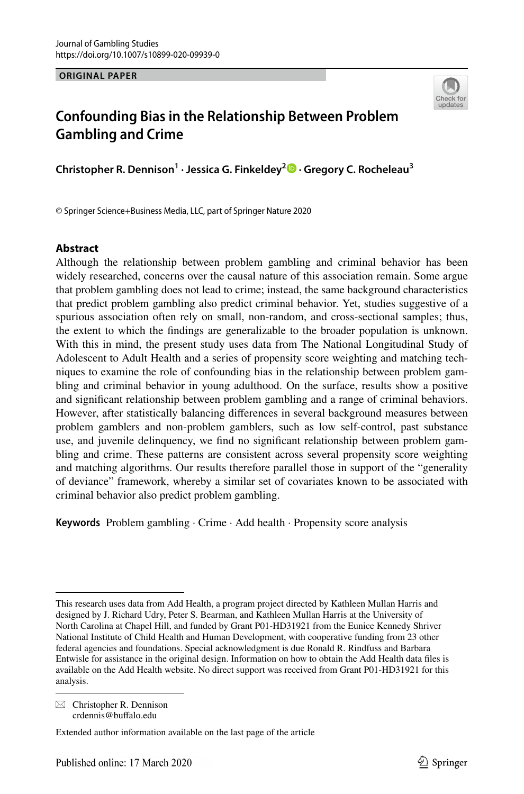**ORIGINAL PAPER**



# **Confounding Bias in the Relationship Between Problem Gambling and Crime**

**Christopher R. Dennison1 · Jessica G. Finkeldey2  [·](http://orcid.org/0000-0002-4487-4266) Gregory C. Rocheleau3**

© Springer Science+Business Media, LLC, part of Springer Nature 2020

### **Abstract**

Although the relationship between problem gambling and criminal behavior has been widely researched, concerns over the causal nature of this association remain. Some argue that problem gambling does not lead to crime; instead, the same background characteristics that predict problem gambling also predict criminal behavior. Yet, studies suggestive of a spurious association often rely on small, non-random, and cross-sectional samples; thus, the extent to which the fndings are generalizable to the broader population is unknown. With this in mind, the present study uses data from The National Longitudinal Study of Adolescent to Adult Health and a series of propensity score weighting and matching techniques to examine the role of confounding bias in the relationship between problem gambling and criminal behavior in young adulthood. On the surface, results show a positive and signifcant relationship between problem gambling and a range of criminal behaviors. However, after statistically balancing diferences in several background measures between problem gamblers and non-problem gamblers, such as low self-control, past substance use, and juvenile delinquency, we fnd no signifcant relationship between problem gambling and crime. These patterns are consistent across several propensity score weighting and matching algorithms. Our results therefore parallel those in support of the "generality of deviance" framework, whereby a similar set of covariates known to be associated with criminal behavior also predict problem gambling.

**Keywords** Problem gambling · Crime · Add health · Propensity score analysis

This research uses data from Add Health, a program project directed by Kathleen Mullan Harris and designed by J. Richard Udry, Peter S. Bearman, and Kathleen Mullan Harris at the University of North Carolina at Chapel Hill, and funded by Grant P01-HD31921 from the Eunice Kennedy Shriver National Institute of Child Health and Human Development, with cooperative funding from 23 other federal agencies and foundations. Special acknowledgment is due Ronald R. Rindfuss and Barbara Entwisle for assistance in the original design. Information on how to obtain the Add Health data fles is available on the Add Health website. No direct support was received from Grant P01-HD31921 for this analysis.

 $\boxtimes$  Christopher R. Dennison crdennis@buffalo.edu

Extended author information available on the last page of the article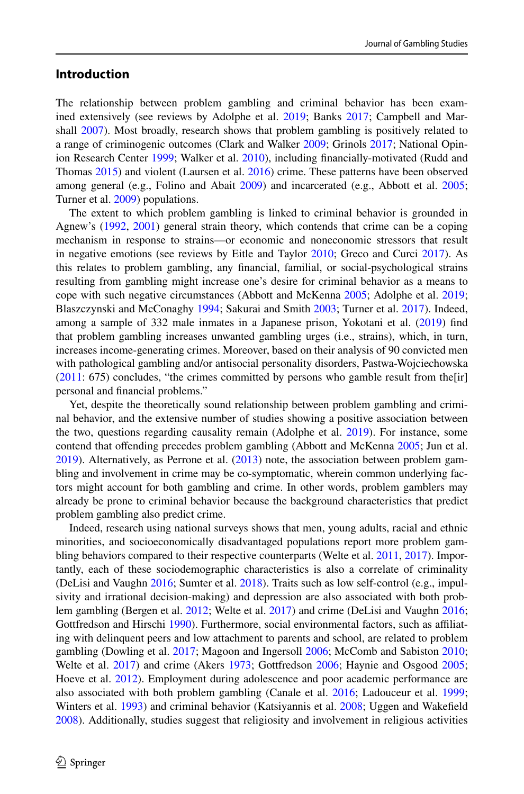### **Introduction**

The relationship between problem gambling and criminal behavior has been examined extensively (see reviews by Adolphe et al. [2019;](#page-14-0) Banks [2017](#page-14-1); Campbell and Marshall [2007](#page-15-0)). Most broadly, research shows that problem gambling is positively related to a range of criminogenic outcomes (Clark and Walker [2009](#page-15-1); Grinols [2017;](#page-15-2) National Opinion Research Center [1999](#page-16-0); Walker et al. [2010](#page-17-0)), including fnancially-motivated (Rudd and Thomas [2015](#page-16-1)) and violent (Laursen et al. [2016\)](#page-16-2) crime. These patterns have been observed among general (e.g., Folino and Abait [2009](#page-15-3)) and incarcerated (e.g., Abbott et al. [2005;](#page-14-2) Turner et al. [2009\)](#page-17-1) populations.

The extent to which problem gambling is linked to criminal behavior is grounded in Agnew's ([1992,](#page-14-3) [2001\)](#page-14-4) general strain theory, which contends that crime can be a coping mechanism in response to strains—or economic and noneconomic stressors that result in negative emotions (see reviews by Eitle and Taylor [2010;](#page-15-4) Greco and Curci [2017](#page-15-5)). As this relates to problem gambling, any fnancial, familial, or social-psychological strains resulting from gambling might increase one's desire for criminal behavior as a means to cope with such negative circumstances (Abbott and McKenna [2005;](#page-14-5) Adolphe et al. [2019;](#page-14-0) Blaszczynski and McConaghy [1994](#page-15-6); Sakurai and Smith [2003](#page-16-3); Turner et al. [2017](#page-17-2)). Indeed, among a sample of 332 male inmates in a Japanese prison, Yokotani et al. ([2019\)](#page-17-3) fnd that problem gambling increases unwanted gambling urges (i.e., strains), which, in turn, increases income-generating crimes. Moreover, based on their analysis of 90 convicted men with pathological gambling and/or antisocial personality disorders, Pastwa-Wojciechowska  $(2011: 675)$  $(2011: 675)$  $(2011: 675)$  concludes, "the crimes committed by persons who gamble result from the [ir] personal and fnancial problems."

Yet, despite the theoretically sound relationship between problem gambling and criminal behavior, and the extensive number of studies showing a positive association between the two, questions regarding causality remain (Adolphe et al. [2019\)](#page-14-0). For instance, some contend that offending precedes problem gambling (Abbott and McKenna [2005;](#page-14-5) Jun et al. [2019\)](#page-16-5). Alternatively, as Perrone et al. ([2013\)](#page-16-6) note, the association between problem gambling and involvement in crime may be co-symptomatic, wherein common underlying factors might account for both gambling and crime. In other words, problem gamblers may already be prone to criminal behavior because the background characteristics that predict problem gambling also predict crime.

Indeed, research using national surveys shows that men, young adults, racial and ethnic minorities, and socioeconomically disadvantaged populations report more problem gam-bling behaviors compared to their respective counterparts (Welte et al. [2011,](#page-17-4) [2017\)](#page-17-5). Importantly, each of these sociodemographic characteristics is also a correlate of criminality (DeLisi and Vaughn [2016](#page-15-7); Sumter et al. [2018](#page-17-6)). Traits such as low self-control (e.g., impulsivity and irrational decision-making) and depression are also associated with both problem gambling (Bergen et al. [2012;](#page-15-8) Welte et al. [2017\)](#page-17-5) and crime (DeLisi and Vaughn [2016;](#page-15-7) Gottfredson and Hirschi [1990\)](#page-15-9). Furthermore, social environmental factors, such as afliating with delinquent peers and low attachment to parents and school, are related to problem gambling (Dowling et al. [2017](#page-15-10); Magoon and Ingersoll [2006](#page-16-7); McComb and Sabiston [2010;](#page-16-8) Welte et al. [2017\)](#page-17-5) and crime (Akers [1973;](#page-14-6) Gottfredson [2006](#page-15-11); Haynie and Osgood [2005;](#page-15-12) Hoeve et al. [2012\)](#page-15-13). Employment during adolescence and poor academic performance are also associated with both problem gambling (Canale et al. [2016;](#page-15-14) Ladouceur et al. [1999;](#page-16-9) Winters et al. [1993](#page-17-7)) and criminal behavior (Katsiyannis et al. [2008](#page-16-10); Uggen and Wakefeld [2008\)](#page-17-8). Additionally, studies suggest that religiosity and involvement in religious activities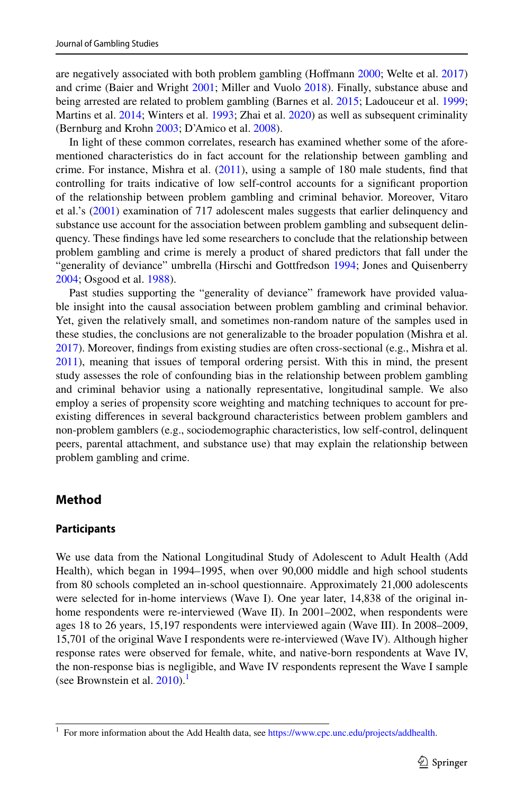are negatively associated with both problem gambling (Hofmann [2000](#page-16-11); Welte et al. [2017](#page-17-5)) and crime (Baier and Wright [2001](#page-14-7); Miller and Vuolo [2018](#page-16-12)). Finally, substance abuse and being arrested are related to problem gambling (Barnes et al. [2015](#page-14-8); Ladouceur et al. [1999;](#page-16-9) Martins et al. [2014;](#page-16-13) Winters et al. [1993](#page-17-7); Zhai et al. [2020](#page-17-9)) as well as subsequent criminality (Bernburg and Krohn [2003;](#page-15-15) D'Amico et al. [2008\)](#page-15-16).

In light of these common correlates, research has examined whether some of the aforementioned characteristics do in fact account for the relationship between gambling and crime. For instance, Mishra et al.  $(2011)$  $(2011)$ , using a sample of 180 male students, find that controlling for traits indicative of low self-control accounts for a signifcant proportion of the relationship between problem gambling and criminal behavior. Moreover, Vitaro et al.'s [\(2001](#page-17-10)) examination of 717 adolescent males suggests that earlier delinquency and substance use account for the association between problem gambling and subsequent delinquency. These fndings have led some researchers to conclude that the relationship between problem gambling and crime is merely a product of shared predictors that fall under the "generality of deviance" umbrella (Hirschi and Gottfredson [1994;](#page-15-17) Jones and Quisenberry [2004;](#page-16-15) Osgood et al. [1988](#page-16-16)).

Past studies supporting the "generality of deviance" framework have provided valuable insight into the causal association between problem gambling and criminal behavior. Yet, given the relatively small, and sometimes non-random nature of the samples used in these studies, the conclusions are not generalizable to the broader population (Mishra et al. [2017\)](#page-16-17). Moreover, fndings from existing studies are often cross-sectional (e.g., Mishra et al. [2011\)](#page-16-14), meaning that issues of temporal ordering persist. With this in mind, the present study assesses the role of confounding bias in the relationship between problem gambling and criminal behavior using a nationally representative, longitudinal sample. We also employ a series of propensity score weighting and matching techniques to account for preexisting diferences in several background characteristics between problem gamblers and non-problem gamblers (e.g., sociodemographic characteristics, low self-control, delinquent peers, parental attachment, and substance use) that may explain the relationship between problem gambling and crime.

### **Method**

### **Participants**

We use data from the National Longitudinal Study of Adolescent to Adult Health (Add Health), which began in 1994–1995, when over 90,000 middle and high school students from 80 schools completed an in-school questionnaire. Approximately 21,000 adolescents were selected for in-home interviews (Wave I). One year later, 14,838 of the original inhome respondents were re-interviewed (Wave II). In 2001–2002, when respondents were ages 18 to 26 years, 15,197 respondents were interviewed again (Wave III). In 2008–2009, 15,701 of the original Wave I respondents were re-interviewed (Wave IV). Although higher response rates were observed for female, white, and native-born respondents at Wave IV, the non-response bias is negligible, and Wave IV respondents represent the Wave I sample (see Brownstein et al.  $2010$  $2010$  $2010$ ).<sup>1</sup>

<span id="page-2-0"></span><sup>&</sup>lt;sup>1</sup> For more information about the Add Health data, see<https://www.cpc.unc.edu/projects/addhealth>.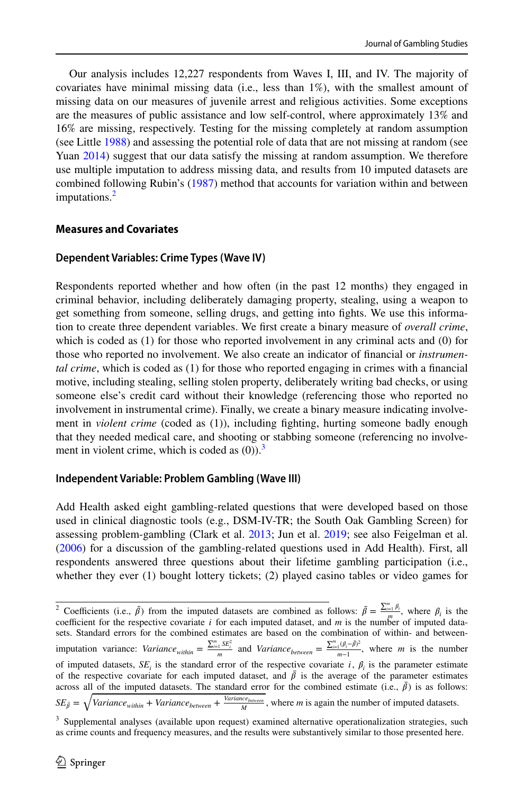Our analysis includes 12,227 respondents from Waves I, III, and IV. The majority of covariates have minimal missing data (i.e., less than 1%), with the smallest amount of missing data on our measures of juvenile arrest and religious activities. Some exceptions are the measures of public assistance and low self-control, where approximately 13% and 16% are missing, respectively. Testing for the missing completely at random assumption (see Little [1988](#page-16-18)) and assessing the potential role of data that are not missing at random (see Yuan [2014\)](#page-17-11) suggest that our data satisfy the missing at random assumption. We therefore use multiple imputation to address missing data, and results from 10 imputed datasets are combined following Rubin's [\(1987](#page-16-19)) method that accounts for variation within and between imputations.<sup>[2](#page-3-0)</sup>

## **Measures and Covariates**

### **Dependent Variables: Crime Types (Wave IV)**

Respondents reported whether and how often (in the past 12 months) they engaged in criminal behavior, including deliberately damaging property, stealing, using a weapon to get something from someone, selling drugs, and getting into fghts. We use this information to create three dependent variables. We frst create a binary measure of *overall crime*, which is coded as (1) for those who reported involvement in any criminal acts and (0) for those who reported no involvement. We also create an indicator of fnancial or *instrumental crime*, which is coded as (1) for those who reported engaging in crimes with a fnancial motive, including stealing, selling stolen property, deliberately writing bad checks, or using someone else's credit card without their knowledge (referencing those who reported no involvement in instrumental crime). Finally, we create a binary measure indicating involvement in *violent crime* (coded as (1)), including fghting, hurting someone badly enough that they needed medical care, and shooting or stabbing someone (referencing no involvement in violent crime, which is coded as  $(0)$ .<sup>3</sup>

### **Independent Variable: Problem Gambling (Wave III)**

Add Health asked eight gambling-related questions that were developed based on those used in clinical diagnostic tools (e.g., DSM-IV-TR; the South Oak Gambling Screen) for assessing problem-gambling (Clark et al. [2013;](#page-15-19) Jun et al. [2019;](#page-16-5) see also Feigelman et al. ([2006\)](#page-15-20) for a discussion of the gambling-related questions used in Add Health). First, all respondents answered three questions about their lifetime gambling participation (i.e., whether they ever (1) bought lottery tickets; (2) played casino tables or video games for

<span id="page-3-0"></span> $\overline{P}$  Coefficients (i.e.,  $\overline{\beta}$ ) from the imputed datasets are combined as follows:  $\overline{\beta} = \frac{\sum_{i=1}^{m} \beta_i}{m}$ , where  $\beta_i$  is the coefficient for the respective covariate *i* for each imputed dataset, and  $m$  is the number of imputed datasets. Standard errors for the combined estimates are based on the combination of within- and betweenimputation variance: *Variance<sub>within</sub>* =  $\frac{\sum_{i=1}^{m} SE_i^2}{m}$  and *Variance<sub>between</sub>* =  $\frac{\sum_{i=1}^{m} (\beta_i - \bar{\beta})^2}{m-1}$ , where *m* is the number of imputed datasets,  $SE_i$  is the standard error of the respective covariate  $i$ ,  $\beta_i$  is the parameter estimate of the respective covariate for each imputed dataset, and  $\bar{\beta}$  is the average of the parameter estimates across all of the imputed datasets. The standard error for the combined estimate (i.e.,  $\bar{\beta}$ ) is as follows:  $SE_{\tilde{\beta}} = \sqrt{Variance_{within} + Variance_{between} + \frac{Variance_{between}}{M}}$ , where *m* is again the number of imputed datasets.

<span id="page-3-1"></span><sup>&</sup>lt;sup>3</sup> Supplemental analyses (available upon request) examined alternative operationalization strategies, such as crime counts and frequency measures, and the results were substantively similar to those presented here.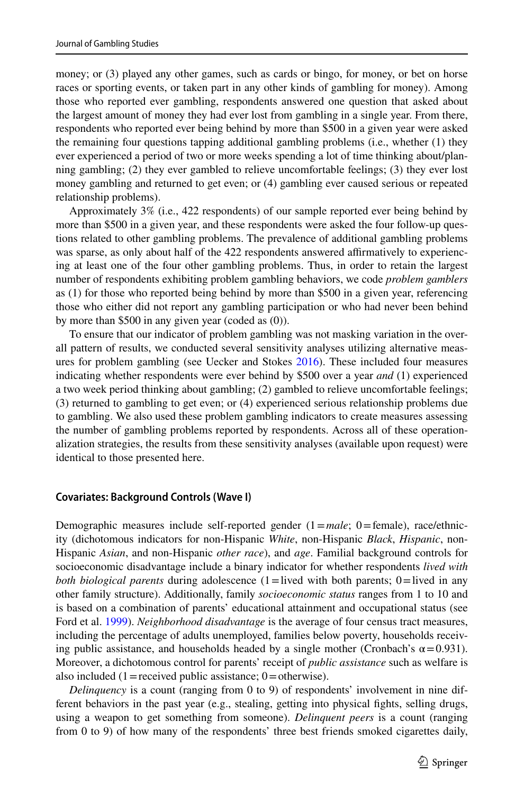money; or (3) played any other games, such as cards or bingo, for money, or bet on horse races or sporting events, or taken part in any other kinds of gambling for money). Among those who reported ever gambling, respondents answered one question that asked about the largest amount of money they had ever lost from gambling in a single year. From there, respondents who reported ever being behind by more than \$500 in a given year were asked the remaining four questions tapping additional gambling problems (i.e., whether (1) they ever experienced a period of two or more weeks spending a lot of time thinking about/planning gambling; (2) they ever gambled to relieve uncomfortable feelings; (3) they ever lost money gambling and returned to get even; or (4) gambling ever caused serious or repeated relationship problems).

Approximately 3% (i.e., 422 respondents) of our sample reported ever being behind by more than \$500 in a given year, and these respondents were asked the four follow-up questions related to other gambling problems. The prevalence of additional gambling problems was sparse, as only about half of the 422 respondents answered afrmatively to experiencing at least one of the four other gambling problems. Thus, in order to retain the largest number of respondents exhibiting problem gambling behaviors, we code *problem gamblers* as (1) for those who reported being behind by more than \$500 in a given year, referencing those who either did not report any gambling participation or who had never been behind by more than \$500 in any given year (coded as (0)).

To ensure that our indicator of problem gambling was not masking variation in the overall pattern of results, we conducted several sensitivity analyses utilizing alternative measures for problem gambling (see Uecker and Stokes [2016\)](#page-17-12). These included four measures indicating whether respondents were ever behind by \$500 over a year *and* (1) experienced a two week period thinking about gambling; (2) gambled to relieve uncomfortable feelings; (3) returned to gambling to get even; or (4) experienced serious relationship problems due to gambling. We also used these problem gambling indicators to create measures assessing the number of gambling problems reported by respondents. Across all of these operationalization strategies, the results from these sensitivity analyses (available upon request) were identical to those presented here.

#### **Covariates: Background Controls (Wave I)**

Demographic measures include self-reported gender (1*=male*; 0*=female*), race/ethnicity (dichotomous indicators for non-Hispanic *White*, non-Hispanic *Black*, *Hispanic*, non-Hispanic *Asian*, and non-Hispanic *other race*), and *age*. Familial background controls for socioeconomic disadvantage include a binary indicator for whether respondents *lived with both biological parents* during adolescence (1=lived with both parents; 0=lived in any other family structure). Additionally, family *socioeconomic status* ranges from 1 to 10 and is based on a combination of parents' educational attainment and occupational status (see Ford et al. [1999](#page-15-21)). *Neighborhood disadvantage* is the average of four census tract measures, including the percentage of adults unemployed, families below poverty, households receiving public assistance, and households headed by a single mother (Cronbach's  $\alpha = 0.931$ ). Moreover, a dichotomous control for parents' receipt of *public assistance* such as welfare is also included  $(1 =$  received public assistance;  $0 =$  otherwise).

*Delinquency* is a count (ranging from 0 to 9) of respondents' involvement in nine different behaviors in the past year (e.g., stealing, getting into physical fghts, selling drugs, using a weapon to get something from someone). *Delinquent peers* is a count (ranging from 0 to 9) of how many of the respondents' three best friends smoked cigarettes daily,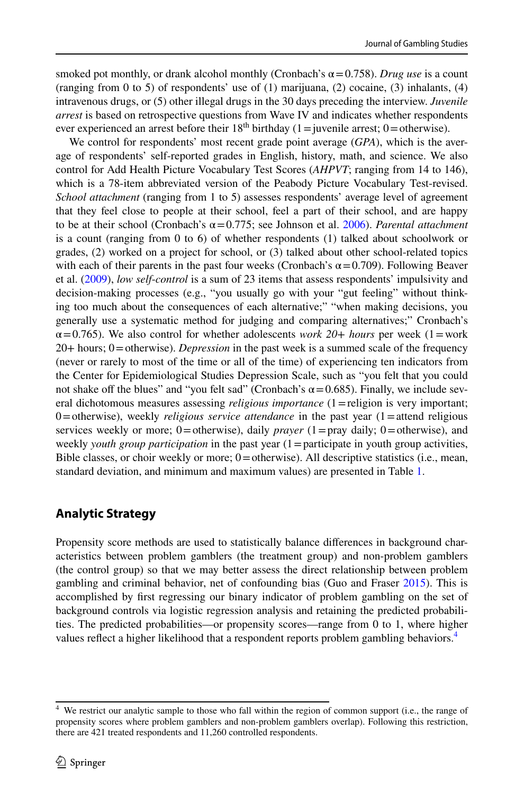smoked pot monthly, or drank alcohol monthly (Cronbach's  $\alpha$  = 0.758). *Drug use* is a count (ranging from 0 to 5) of respondents' use of  $(1)$  marijuana,  $(2)$  cocaine,  $(3)$  inhalants,  $(4)$ intravenous drugs, or (5) other illegal drugs in the 30 days preceding the interview. *Juvenile arrest* is based on retrospective questions from Wave IV and indicates whether respondents ever experienced an arrest before their  $18<sup>th</sup>$  birthday (1 = juvenile arrest; 0 = otherwise).

We control for respondents' most recent grade point average (*GPA*), which is the average of respondents' self-reported grades in English, history, math, and science. We also control for Add Health Picture Vocabulary Test Scores (*AHPVT*; ranging from 14 to 146), which is a 78-item abbreviated version of the Peabody Picture Vocabulary Test-revised. *School attachment* (ranging from 1 to 5) assesses respondents' average level of agreement that they feel close to people at their school, feel a part of their school, and are happy to be at their school (Cronbach's  $\alpha$ =0.775; see Johnson et al. [2006\)](#page-16-20). *Parental attachment* is a count (ranging from 0 to 6) of whether respondents (1) talked about schoolwork or grades, (2) worked on a project for school, or (3) talked about other school-related topics with each of their parents in the past four weeks (Cronbach's  $\alpha$  = 0.709). Following Beaver et al. ([2009\)](#page-15-22), *low self*-*control* is a sum of 23 items that assess respondents' impulsivity and decision-making processes (e.g., "you usually go with your "gut feeling" without thinking too much about the consequences of each alternative;" "when making decisions, you generally use a systematic method for judging and comparing alternatives;" Cronbach's  $\alpha$ =0.765). We also control for whether adolescents *work* 20+ *hours* per week (1=work 20+ hours; 0=otherwise). *Depression* in the past week is a summed scale of the frequency (never or rarely to most of the time or all of the time) of experiencing ten indicators from the Center for Epidemiological Studies Depression Scale, such as "you felt that you could not shake off the blues" and "you felt sad" (Cronbach's α=0.685). Finally, we include several dichotomous measures assessing *religious importance* (1=religion is very important; 0=otherwise), weekly *religious service attendance* in the past year (1=attend religious services weekly or more; 0=otherwise), daily *prayer* (1=pray daily; 0=otherwise), and weekly *youth group participation* in the past year (1=participate in youth group activities, Bible classes, or choir weekly or more; 0=otherwise). All descriptive statistics (i.e., mean, standard deviation, and minimum and maximum values) are presented in Table [1](#page-6-0).

# **Analytic Strategy**

Propensity score methods are used to statistically balance diferences in background characteristics between problem gamblers (the treatment group) and non-problem gamblers (the control group) so that we may better assess the direct relationship between problem gambling and criminal behavior, net of confounding bias (Guo and Fraser [2015](#page-15-23)). This is accomplished by frst regressing our binary indicator of problem gambling on the set of background controls via logistic regression analysis and retaining the predicted probabilities. The predicted probabilities—or propensity scores—range from 0 to 1, where higher values reflect a higher likelihood that a respondent reports problem gambling behaviors.<sup>[4](#page-5-0)</sup>

<span id="page-5-0"></span><sup>&</sup>lt;sup>4</sup> We restrict our analytic sample to those who fall within the region of common support (i.e., the range of propensity scores where problem gamblers and non-problem gamblers overlap). Following this restriction, there are 421 treated respondents and 11,260 controlled respondents.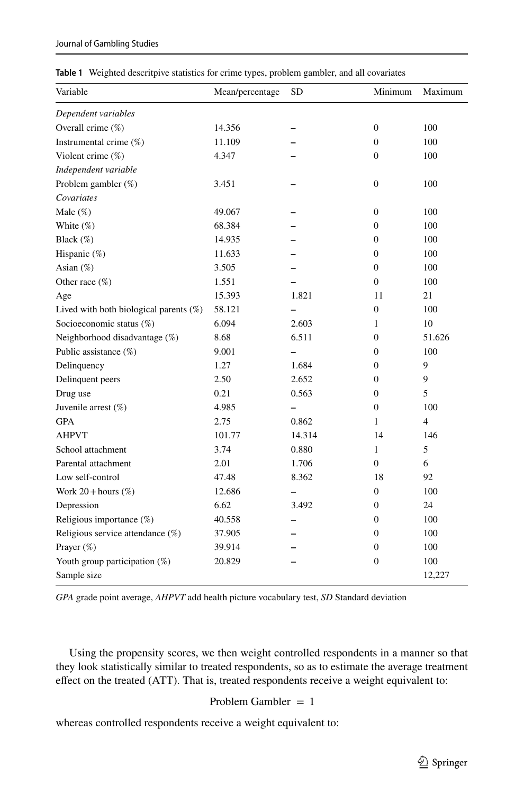| Variable                                  | Mean/percentage | <b>SD</b> | Minimum          | Maximum        |
|-------------------------------------------|-----------------|-----------|------------------|----------------|
| Dependent variables                       |                 |           |                  |                |
| Overall crime (%)                         | 14.356          |           | $\theta$         | 100            |
| Instrumental crime (%)                    | 11.109          |           | $\boldsymbol{0}$ | 100            |
| Violent crime (%)                         | 4.347           |           | $\overline{0}$   | 100            |
| Independent variable                      |                 |           |                  |                |
| Problem gambler (%)                       | 3.451           |           | $\boldsymbol{0}$ | 100            |
| Covariates                                |                 |           |                  |                |
| Male (%)                                  | 49.067          |           | $\boldsymbol{0}$ | 100            |
| White $(\%)$                              | 68.384          |           | $\overline{0}$   | 100            |
| Black (%)                                 | 14.935          |           | $\boldsymbol{0}$ | 100            |
| Hispanic (%)                              | 11.633          |           | $\overline{0}$   | 100            |
| Asian $(\%)$                              | 3.505           |           | $\overline{0}$   | 100            |
| Other race $(\%)$                         | 1.551           |           | $\boldsymbol{0}$ | 100            |
| Age                                       | 15.393          | 1.821     | 11               | 21             |
| Lived with both biological parents $(\%)$ | 58.121          |           | $\boldsymbol{0}$ | 100            |
| Socioeconomic status (%)                  | 6.094           | 2.603     | 1                | 10             |
| Neighborhood disadvantage (%)             | 8.68            | 6.511     | $\overline{0}$   | 51.626         |
| Public assistance (%)                     | 9.001           |           | 0                | 100            |
| Delinquency                               | 1.27            | 1.684     | 0                | 9              |
| Delinquent peers                          | 2.50            | 2.652     | 0                | 9              |
| Drug use                                  | 0.21            | 0.563     | 0                | 5              |
| Juvenile arrest (%)                       | 4.985           | —         | $\boldsymbol{0}$ | 100            |
| <b>GPA</b>                                | 2.75            | 0.862     | $\mathbf{1}$     | $\overline{4}$ |
| <b>AHPVT</b>                              | 101.77          | 14.314    | 14               | 146            |
| School attachment                         | 3.74            | 0.880     | $\mathbf{1}$     | 5              |
| Parental attachment                       | 2.01            | 1.706     | $\overline{0}$   | 6              |
| Low self-control                          | 47.48           | 8.362     | 18               | 92             |
| Work $20 + \text{hours}$ (%)              | 12.686          |           | 0                | 100            |
| Depression                                | 6.62            | 3.492     | $\overline{0}$   | 24             |
| Religious importance (%)                  | 40.558          |           | 0                | 100            |
| Religious service attendance (%)          | 37.905          |           | 0                | 100            |
| Prayer $(\%)$                             | 39.914          |           | $\boldsymbol{0}$ | 100            |
| Youth group participation (%)             | 20.829          |           | 0                | 100            |
| Sample size                               |                 |           |                  | 12,227         |

<span id="page-6-0"></span>**Table 1** Weighted descritpive statistics for crime types, problem gambler, and all covariates

*GPA* grade point average, *AHPVT* add health picture vocabulary test, *SD* Standard deviation

Using the propensity scores, we then weight controlled respondents in a manner so that they look statistically similar to treated respondents, so as to estimate the average treatment effect on the treated (ATT). That is, treated respondents receive a weight equivalent to:

### Problem Gambler = 1

whereas controlled respondents receive a weight equivalent to: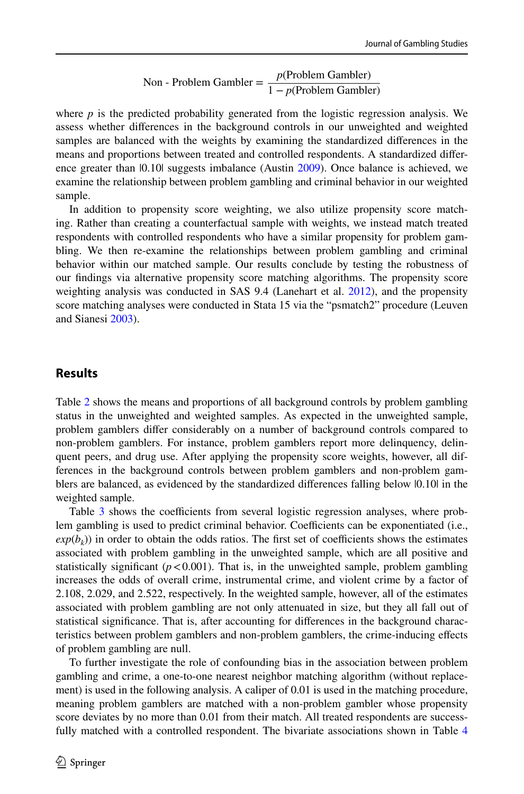Non - Problem Gambler = 
$$
\frac{p(\text{Problem Gambler})}{1 - p(\text{Problem Gambler})}
$$

where  $p$  is the predicted probability generated from the logistic regression analysis. We assess whether diferences in the background controls in our unweighted and weighted samples are balanced with the weights by examining the standardized diferences in the means and proportions between treated and controlled respondents. A standardized diference greater than  $|0.10|$  suggests imbalance (Austin [2009\)](#page-14-9). Once balance is achieved, we examine the relationship between problem gambling and criminal behavior in our weighted sample.

In addition to propensity score weighting, we also utilize propensity score matching. Rather than creating a counterfactual sample with weights, we instead match treated respondents with controlled respondents who have a similar propensity for problem gambling. We then re-examine the relationships between problem gambling and criminal behavior within our matched sample. Our results conclude by testing the robustness of our fndings via alternative propensity score matching algorithms. The propensity score weighting analysis was conducted in SAS 9.4 (Lanehart et al. [2012](#page-16-21)), and the propensity score matching analyses were conducted in Stata 15 via the "psmatch2" procedure (Leuven and Sianesi [2003\)](#page-16-22).

# **Results**

Table [2](#page-8-0) shows the means and proportions of all background controls by problem gambling status in the unweighted and weighted samples. As expected in the unweighted sample, problem gamblers difer considerably on a number of background controls compared to non-problem gamblers. For instance, problem gamblers report more delinquency, delinquent peers, and drug use. After applying the propensity score weights, however, all differences in the background controls between problem gamblers and non-problem gamblers are balanced, as evidenced by the standardized diferences falling below |0.10| in the weighted sample.

Table [3](#page-10-0) shows the coefficients from several logistic regression analyses, where problem gambling is used to predict criminal behavior. Coefficients can be exponentiated (i.e.,  $exp(b<sub>k</sub>)$ ) in order to obtain the odds ratios. The first set of coefficients shows the estimates associated with problem gambling in the unweighted sample, which are all positive and statistically significant  $(p < 0.001)$ . That is, in the unweighted sample, problem gambling increases the odds of overall crime, instrumental crime, and violent crime by a factor of 2.108, 2.029, and 2.522, respectively. In the weighted sample, however, all of the estimates associated with problem gambling are not only attenuated in size, but they all fall out of statistical signifcance. That is, after accounting for diferences in the background characteristics between problem gamblers and non-problem gamblers, the crime-inducing efects of problem gambling are null.

To further investigate the role of confounding bias in the association between problem gambling and crime, a one-to-one nearest neighbor matching algorithm (without replacement) is used in the following analysis. A caliper of 0.01 is used in the matching procedure, meaning problem gamblers are matched with a non-problem gambler whose propensity score deviates by no more than 0.01 from their match. All treated respondents are success-fully matched with a controlled respondent. The bivariate associations shown in Table [4](#page-11-0)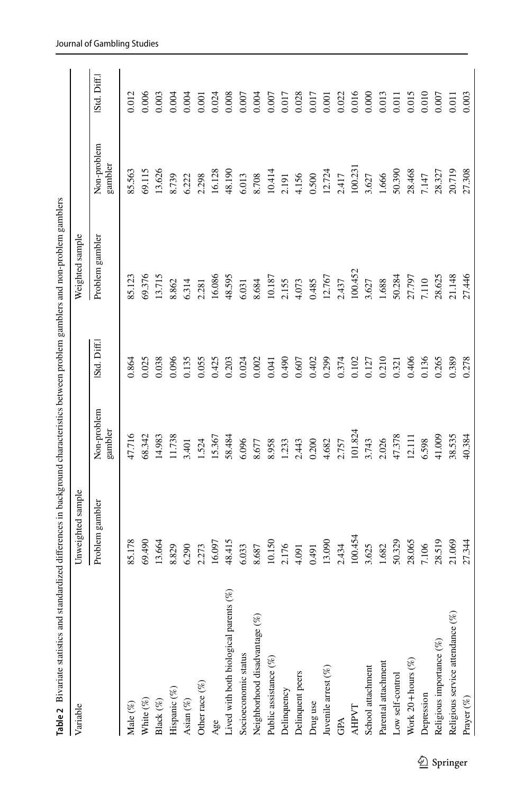<span id="page-8-0"></span>

| ì             |
|---------------|
| ć             |
| j             |
| l<br>l        |
| l<br>i        |
| ۱             |
| l<br>ł        |
| l             |
| í<br>١<br>l   |
| j<br>١o٠      |
|               |
| į<br>į<br>j   |
| i<br>۳        |
|               |
| ׇ֚֘֝֬         |
| Ś<br>ׅ֘֒<br>l |
| j<br>i        |
| $\vdots$<br>ì |
| l             |
| I             |
| j             |
|               |
|               |
| ֚֬֓֡֡֡֡֡֡֡    |
|               |
| ļ<br>١<br>l   |
| ĉ<br>į<br>高   |
| ľ             |

| Variable                               | Unweighted sample |                        |             | Weighted sample |                        |             |
|----------------------------------------|-------------------|------------------------|-------------|-----------------|------------------------|-------------|
|                                        | Problem gambler   | Non-problem<br>gambler | IStd. Diff. | Problem gambler | Non-problem<br>gambler | IStd. Diff. |
| Male $(\%)$                            | 85.178            | 47.716                 | 0.864       | 85.123          | 85.563                 | 0.012       |
| White $(\%)$                           | 69.490            | 68.342                 | 0.025       | 69.376          | 69.115                 | 0.006       |
| Black $(\%)$                           | 13.664            | 14.983                 | 0.038       | 13.715          | 13.626                 | 0.003       |
| Hispanic (%)                           | 8.829             | 11.738                 | 0.096       | 8.862           | 8.739                  | 0.004       |
| Asian $(\%)$                           | 6.290             | 3.401                  | 0.135       | 6.314           | 6.222                  | 0.004       |
| Other race $(\%)$                      | 2.273             | 1.524                  | 0.055       | 2.281           | 2.298                  | 0.001       |
| Age                                    | 16.097            | 15.367                 | 0.425       | 16.086          | 16.128                 | 0.024       |
| Lived with both biological parents (%) | 48.415            | 58.484                 | 0.203       | 48.595          | 48.190                 | 0.008       |
| Socioeconomic status                   | 6.033             | 6.096                  | 0.024       | 6.031           | 6.013                  | 0.007       |
| Neighborhood disadvantage (%)          | 8.687             | 8.677                  | 0.002       | 8.684           | 8.708                  | 0.004       |
| Public assistance (%)                  | 10.150            | 8.958                  | 0.041       | 10.187          | 10.414                 | 0.007       |
| Delinquency                            | 2.176             | 1.233                  | 0.490       | 2.155           | 2.191                  | 0.017       |
| Delinquent peers                       | 4.091             | 2.443                  | 0.607       | 4.073           | 4.156                  | 0.028       |
| Drug use                               | 0.491             | 0.200                  | 0.402       | 0.485           | 0.500                  | 0.017       |
| Juvenile arrest (%)                    | 13.090            | 4.682                  | 0.299       | 12.767          | 12.724                 | 0.001       |
| GPA                                    | 2.434             | 2.757                  | 0.374       | 2.437           | 2.417                  | 0.022       |
| <b>AHPVT</b>                           | 100.454           | 101.824                | 0.102       | 100.452         | 100.231                | 0.016       |
| School attachment                      | 3.625             | 3.743                  | 0.127       | 3.627           | 3.627                  | 0.000       |
| Parental attachment                    | 1.682             | 2.026                  | 0.210       | 1.688           | 1.666                  | 0.013       |
| Low self-control                       | 50.329            | 47.378                 | 0.321       | 50.284          | 50.390                 | 0.011       |
| Work $20 +$ hours (%)                  | 28.065            | 12.111                 | 0.406       | 27.797          | 28.468                 | 0.015       |
| Depression                             | 7.106             | 6.598                  | 0.136       | 7.110           | 7.147                  | 0.010       |
| Religious importance (%)               | 28.519            | 41.009                 | 0.265       | 28.625          | 28.327                 | 0.007       |
| Religious service attendance (%)       | 21.069            | 38.535                 | 0.389       | 21.148          | 20.719                 | 0.011       |
| Prayer (%)                             | 27.344            | 40.384                 | 0.278       | 27.446          | 27.308                 | 0.003       |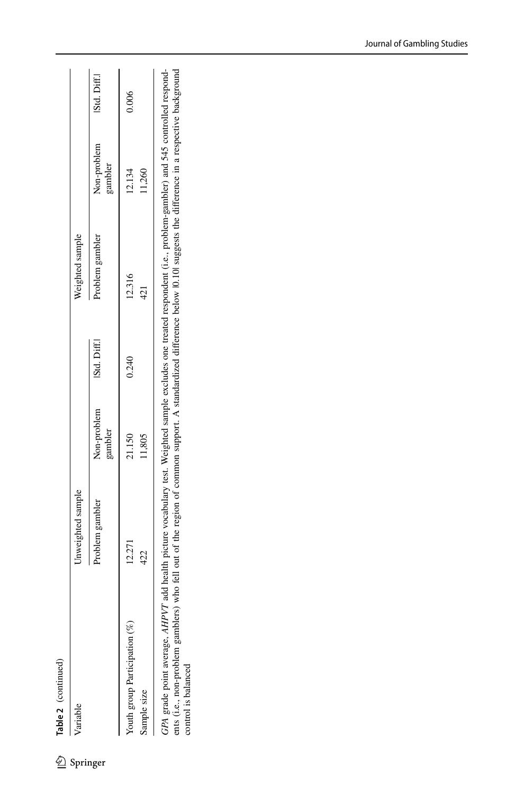|   | ï                                                                   |
|---|---------------------------------------------------------------------|
|   |                                                                     |
|   |                                                                     |
|   |                                                                     |
|   |                                                                     |
|   |                                                                     |
|   |                                                                     |
|   |                                                                     |
|   | ֖֖֖ׅׅׅׅׅ֖ׅ֖֪ׅ֖֧֧ׅ֧֧ׅ֧֚֚֚֚֚֚֚֚֚֚֚֚֚֚֚֚֡֝֝֓֕֓֡֬֝֬֝֬֝֬֝֬֝֓֝֓֞֝֬֝֓֞֝֬֝֬ |
|   |                                                                     |
|   | י                                                                   |
|   |                                                                     |
|   |                                                                     |
|   |                                                                     |
|   |                                                                     |
|   |                                                                     |
|   |                                                                     |
|   |                                                                     |
|   |                                                                     |
| г |                                                                     |
|   |                                                                     |
| ¢ |                                                                     |
|   |                                                                     |
|   |                                                                     |
|   |                                                                     |
|   |                                                                     |
| å |                                                                     |

|                          | Unweighted sample |                        |              | Weighted sample |                        |              |
|--------------------------|-------------------|------------------------|--------------|-----------------|------------------------|--------------|
|                          | Problem gambler   | Non-problem<br>gambler | IStd. Diff.I | Problem gambler | Non-problem<br>gambler | IStd. Diff.) |
| outh group Participation | 12.271            | 21.150                 | 0.240        | 12.316          | 12.134                 | 0.006        |
| ample size               | 422               | 11,805                 |              | 421             | 11,260                 |              |

or A grade point average, AHPV1 add neatin picture vocabulary test. Weighted sample excludes one treated respondenticle, problem-gambier) and 343 controlled respondents (i.e., non-problem gamblers) who fell out of the regi ents (i.e., non-problem gamblers) who fell out of the region of common support. A standardized diference below |0.10| suggests the diference in a respective background control is balanced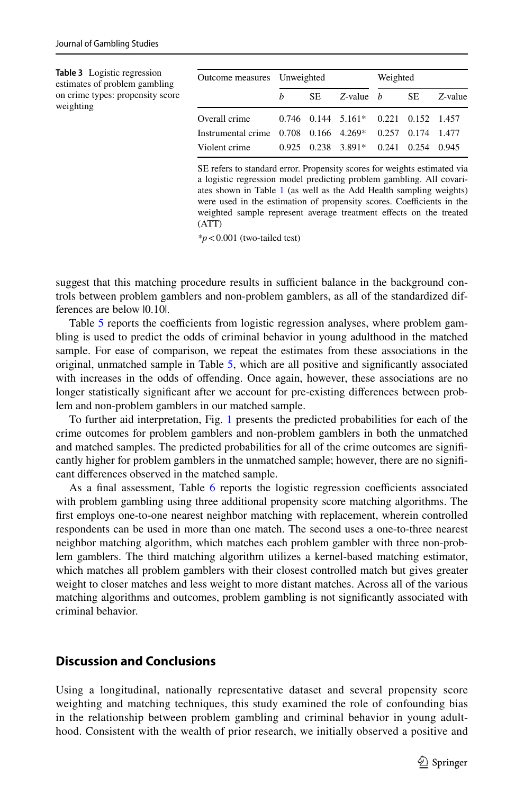<span id="page-10-0"></span>

|                                                                                                                                    |   |     | Weighted                                                                                            |                |                                              |
|------------------------------------------------------------------------------------------------------------------------------------|---|-----|-----------------------------------------------------------------------------------------------------|----------------|----------------------------------------------|
|                                                                                                                                    | h | SE. |                                                                                                     | SE.            | Z-value                                      |
| Outcome measures Unweighted<br>estimates of problem gambling<br>on crime types: propensity score<br>Overall crime<br>Violent crime |   |     |                                                                                                     |                |                                              |
|                                                                                                                                    |   |     |                                                                                                     |                | 1.477                                        |
|                                                                                                                                    |   |     |                                                                                                     | 0.254          | 0.945                                        |
|                                                                                                                                    |   |     | $0.746$ $0.144$ $5.161*$<br>Instrumental crime $0.708$ $0.166$ $4.269*$<br>$0.925$ $0.238$ $3.891*$ | $Z$ -value $h$ | 0.221 0.152 1.457<br>0.257<br>0.174<br>0.241 |

SE refers to standard error. Propensity scores for weights estimated via a logistic regression model predicting problem gambling. All covariates shown in Table [1](#page-6-0) (as well as the Add Health sampling weights) were used in the estimation of propensity scores. Coefficients in the weighted sample represent average treatment effects on the treated (ATT)

*\*p*<0.001 (two-tailed test)

suggest that this matching procedure results in sufficient balance in the background controls between problem gamblers and non-problem gamblers, as all of the standardized differences are below |0.10|.

Table [5](#page-12-0) reports the coefficients from logistic regression analyses, where problem gambling is used to predict the odds of criminal behavior in young adulthood in the matched sample. For ease of comparison, we repeat the estimates from these associations in the original, unmatched sample in Table [5,](#page-12-0) which are all positive and signifcantly associated with increases in the odds of offending. Once again, however, these associations are no longer statistically signifcant after we account for pre-existing diferences between problem and non-problem gamblers in our matched sample.

To further aid interpretation, Fig. [1](#page-12-1) presents the predicted probabilities for each of the crime outcomes for problem gamblers and non-problem gamblers in both the unmatched and matched samples. The predicted probabilities for all of the crime outcomes are signifcantly higher for problem gamblers in the unmatched sample; however, there are no signifcant diferences observed in the matched sample.

As a final assessment, Table [6](#page-13-0) reports the logistic regression coefficients associated with problem gambling using three additional propensity score matching algorithms. The frst employs one-to-one nearest neighbor matching with replacement, wherein controlled respondents can be used in more than one match. The second uses a one-to-three nearest neighbor matching algorithm, which matches each problem gambler with three non-problem gamblers. The third matching algorithm utilizes a kernel-based matching estimator, which matches all problem gamblers with their closest controlled match but gives greater weight to closer matches and less weight to more distant matches. Across all of the various matching algorithms and outcomes, problem gambling is not signifcantly associated with criminal behavior.

### **Discussion and Conclusions**

Using a longitudinal, nationally representative dataset and several propensity score weighting and matching techniques, this study examined the role of confounding bias in the relationship between problem gambling and criminal behavior in young adulthood. Consistent with the wealth of prior research, we initially observed a positive and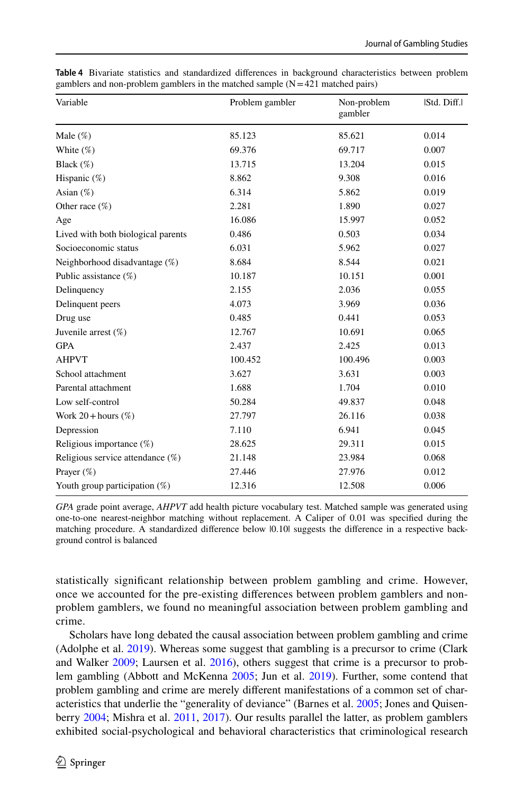| Variable                            | Problem gambler | Non-problem<br>gambler | IStd. Diff. |
|-------------------------------------|-----------------|------------------------|-------------|
| Male $(\%)$                         | 85.123          | 85.621                 | 0.014       |
| White $(\%)$                        | 69.376          | 69.717                 | 0.007       |
| Black $(\%)$                        | 13.715          | 13.204                 | 0.015       |
| Hispanic $(\%)$                     | 8.862           | 9.308                  | 0.016       |
| Asian $(\%)$                        | 6.314           | 5.862                  | 0.019       |
| Other race $(\%)$                   | 2.281           | 1.890                  | 0.027       |
| Age                                 | 16.086          | 15.997                 | 0.052       |
| Lived with both biological parents  | 0.486           | 0.503                  | 0.034       |
| Socioeconomic status                | 6.031           | 5.962                  | 0.027       |
| Neighborhood disadvantage (%)       | 8.684           | 8.544                  | 0.021       |
| Public assistance (%)               | 10.187          | 10.151                 | 0.001       |
| Delinquency                         | 2.155           | 2.036                  | 0.055       |
| Delinquent peers                    | 4.073           | 3.969                  | 0.036       |
| Drug use                            | 0.485           | 0.441                  | 0.053       |
| Juvenile arrest $(\%)$              | 12.767          | 10.691                 | 0.065       |
| <b>GPA</b>                          | 2.437           | 2.425                  | 0.013       |
| <b>AHPVT</b>                        | 100.452         | 100.496                | 0.003       |
| School attachment                   | 3.627           | 3.631                  | 0.003       |
| Parental attachment                 | 1.688           | 1.704                  | 0.010       |
| Low self-control                    | 50.284          | 49.837                 | 0.048       |
| Work $20 + \text{hours}$ (%)        | 27.797          | 26.116                 | 0.038       |
| Depression                          | 7.110           | 6.941                  | 0.045       |
| Religious importance $(\%)$         | 28.625          | 29.311                 | 0.015       |
| Religious service attendance $(\%)$ | 21.148          | 23.984                 | 0.068       |
| Prayer $(\%)$                       | 27.446          | 27.976                 | 0.012       |
| Youth group participation (%)       | 12.316          | 12.508                 | 0.006       |

<span id="page-11-0"></span>**Table 4** Bivariate statistics and standardized diferences in background characteristics between problem gamblers and non-problem gamblers in the matched sample  $(N=421$  matched pairs)

*GPA* grade point average, *AHPVT* add health picture vocabulary test. Matched sample was generated using one-to-one nearest-neighbor matching without replacement. A Caliper of 0.01 was specifed during the matching procedure. A standardized difference below  $|0.10|$  suggests the difference in a respective background control is balanced

statistically signifcant relationship between problem gambling and crime. However, once we accounted for the pre-existing diferences between problem gamblers and nonproblem gamblers, we found no meaningful association between problem gambling and crime.

Scholars have long debated the causal association between problem gambling and crime (Adolphe et al. [2019\)](#page-14-0). Whereas some suggest that gambling is a precursor to crime (Clark and Walker [2009](#page-15-1); Laursen et al. [2016](#page-16-2)), others suggest that crime is a precursor to problem gambling (Abbott and McKenna [2005;](#page-14-5) Jun et al. [2019](#page-16-5)). Further, some contend that problem gambling and crime are merely diferent manifestations of a common set of characteristics that underlie the "generality of deviance" (Barnes et al. [2005](#page-14-10); Jones and Quisenberry [2004](#page-16-15); Mishra et al. [2011,](#page-16-14) [2017](#page-16-17)). Our results parallel the latter, as problem gamblers exhibited social-psychological and behavioral characteristics that criminological research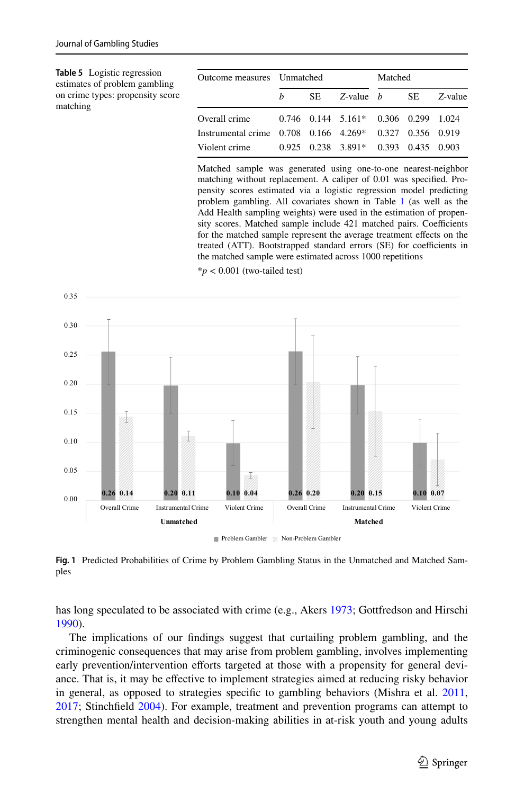<span id="page-12-0"></span>

| <b>Table 5</b> Logistic regression<br>estimates of problem gambling | Outcome measures                            | Unmatched |     |                                                  | Matched           |             |         |
|---------------------------------------------------------------------|---------------------------------------------|-----------|-----|--------------------------------------------------|-------------------|-------------|---------|
| on crime types: propensity score<br>matching                        |                                             | h         | SE. | $Z$ -value $h$                                   |                   | SE.         | Z-value |
|                                                                     | Overall crime                               |           |     | $0.746$ $0.144$ $5.161*$ $0.306$ $0.299$ $1.024$ |                   |             |         |
|                                                                     | Instrumental crime $0.708$ $0.166$ $4.269*$ |           |     |                                                  | 0.327 0.356 0.919 |             |         |
|                                                                     | Violent crime                               |           |     | $0.925$ $0.238$ $3.891*$                         | 0.393             | 0.435 0.903 |         |
|                                                                     |                                             |           |     |                                                  |                   |             |         |

Matched sample was generated using one-to-one nearest-neighbor matching without replacement. A caliper of 0.01 was specifed. Propensity scores estimated via a logistic regression model predicting problem gambling. All covariates shown in Table [1](#page-6-0) (as well as the Add Health sampling weights) were used in the estimation of propensity scores. Matched sample include 421 matched pairs. Coefficients for the matched sample represent the average treatment efects on the treated (ATT). Bootstrapped standard errors (SE) for coefficients in the matched sample were estimated across 1000 repetitions

 $**p* < 0.001$  (two-tailed test)



<span id="page-12-1"></span>**Fig. 1** Predicted Probabilities of Crime by Problem Gambling Status in the Unmatched and Matched Samples

has long speculated to be associated with crime (e.g., Akers [1973;](#page-14-6) Gottfredson and Hirschi [1990\)](#page-15-9).

The implications of our fndings suggest that curtailing problem gambling, and the criminogenic consequences that may arise from problem gambling, involves implementing early prevention/intervention eforts targeted at those with a propensity for general deviance. That is, it may be efective to implement strategies aimed at reducing risky behavior in general, as opposed to strategies specifc to gambling behaviors (Mishra et al. [2011](#page-16-14), [2017;](#page-16-17) Stinchfeld [2004](#page-17-13)). For example, treatment and prevention programs can attempt to strengthen mental health and decision-making abilities in at-risk youth and young adults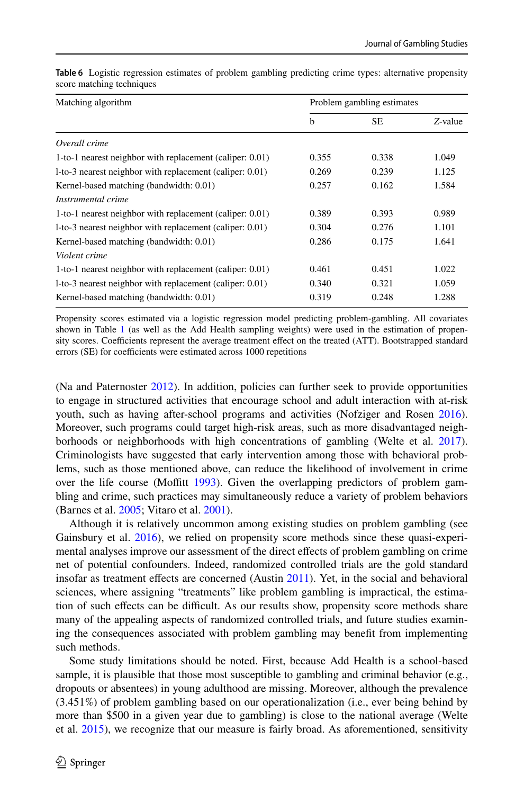| Matching algorithm                                       |       | Problem gambling estimates |         |
|----------------------------------------------------------|-------|----------------------------|---------|
|                                                          | b     | SE                         | Z-value |
| Overall crime                                            |       |                            |         |
| 1-to-1 nearest neighbor with replacement (caliper: 0.01) | 0.355 | 0.338                      | 1.049   |
| 1-to-3 nearest neighbor with replacement (caliper: 0.01) | 0.269 | 0.239                      | 1.125   |
| Kernel-based matching (bandwidth: 0.01)                  | 0.257 | 0.162                      | 1.584   |
| Instrumental crime                                       |       |                            |         |
| 1-to-1 nearest neighbor with replacement (caliper: 0.01) | 0.389 | 0.393                      | 0.989   |
| 1-to-3 nearest neighbor with replacement (caliper: 0.01) | 0.304 | 0.276                      | 1.101   |
| Kernel-based matching (bandwidth: 0.01)                  | 0.286 | 0.175                      | 1.641   |
| Violent crime                                            |       |                            |         |
| 1-to-1 nearest neighbor with replacement (caliper: 0.01) | 0.461 | 0.451                      | 1.022   |
| 1-to-3 nearest neighbor with replacement (caliper: 0.01) | 0.340 | 0.321                      | 1.059   |
| Kernel-based matching (bandwidth: 0.01)                  | 0.319 | 0.248                      | 1.288   |

<span id="page-13-0"></span>**Table 6** Logistic regression estimates of problem gambling predicting crime types: alternative propensity score matching techniques

Propensity scores estimated via a logistic regression model predicting problem-gambling. All covariates shown in Table [1](#page-6-0) (as well as the Add Health sampling weights) were used in the estimation of propensity scores. Coefficients represent the average treatment effect on the treated (ATT). Bootstrapped standard errors (SE) for coefficients were estimated across 1000 repetitions

(Na and Paternoster [2012\)](#page-16-23). In addition, policies can further seek to provide opportunities to engage in structured activities that encourage school and adult interaction with at-risk youth, such as having after-school programs and activities (Nofziger and Rosen [2016](#page-16-24)). Moreover, such programs could target high-risk areas, such as more disadvantaged neighborhoods or neighborhoods with high concentrations of gambling (Welte et al. [2017](#page-17-5)). Criminologists have suggested that early intervention among those with behavioral problems, such as those mentioned above, can reduce the likelihood of involvement in crime over the life course (Moftt [1993](#page-16-25)). Given the overlapping predictors of problem gambling and crime, such practices may simultaneously reduce a variety of problem behaviors (Barnes et al. [2005;](#page-14-10) Vitaro et al. [2001\)](#page-17-10).

Although it is relatively uncommon among existing studies on problem gambling (see Gainsbury et al. [2016](#page-15-24)), we relied on propensity score methods since these quasi-experimental analyses improve our assessment of the direct effects of problem gambling on crime net of potential confounders. Indeed, randomized controlled trials are the gold standard insofar as treatment efects are concerned (Austin [2011\)](#page-14-11). Yet, in the social and behavioral sciences, where assigning "treatments" like problem gambling is impractical, the estimation of such effects can be difficult. As our results show, propensity score methods share many of the appealing aspects of randomized controlled trials, and future studies examining the consequences associated with problem gambling may beneft from implementing such methods.

Some study limitations should be noted. First, because Add Health is a school-based sample, it is plausible that those most susceptible to gambling and criminal behavior (e.g., dropouts or absentees) in young adulthood are missing. Moreover, although the prevalence (3.451%) of problem gambling based on our operationalization (i.e., ever being behind by more than \$500 in a given year due to gambling) is close to the national average (Welte et al. [2015\)](#page-17-14), we recognize that our measure is fairly broad. As aforementioned, sensitivity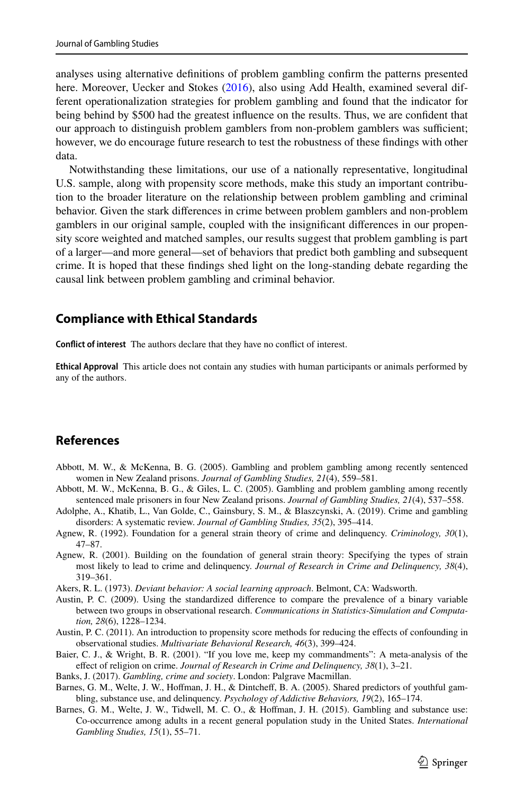analyses using alternative defnitions of problem gambling confrm the patterns presented here. Moreover, Uecker and Stokes [\(2016](#page-17-12)), also using Add Health, examined several different operationalization strategies for problem gambling and found that the indicator for being behind by \$500 had the greatest infuence on the results. Thus, we are confdent that our approach to distinguish problem gamblers from non-problem gamblers was sufficient; however, we do encourage future research to test the robustness of these fndings with other data.

Notwithstanding these limitations, our use of a nationally representative, longitudinal U.S. sample, along with propensity score methods, make this study an important contribution to the broader literature on the relationship between problem gambling and criminal behavior. Given the stark diferences in crime between problem gamblers and non-problem gamblers in our original sample, coupled with the insignifcant diferences in our propensity score weighted and matched samples, our results suggest that problem gambling is part of a larger—and more general—set of behaviors that predict both gambling and subsequent crime. It is hoped that these fndings shed light on the long-standing debate regarding the causal link between problem gambling and criminal behavior.

### **Compliance with Ethical Standards**

**Confict of interest** The authors declare that they have no confict of interest.

**Ethical Approval** This article does not contain any studies with human participants or animals performed by any of the authors.

# **References**

- <span id="page-14-5"></span>Abbott, M. W., & McKenna, B. G. (2005). Gambling and problem gambling among recently sentenced women in New Zealand prisons. *Journal of Gambling Studies, 21*(4), 559–581.
- <span id="page-14-2"></span>Abbott, M. W., McKenna, B. G., & Giles, L. C. (2005). Gambling and problem gambling among recently sentenced male prisoners in four New Zealand prisons. *Journal of Gambling Studies, 21*(4), 537–558.
- <span id="page-14-0"></span>Adolphe, A., Khatib, L., Van Golde, C., Gainsbury, S. M., & Blaszcynski, A. (2019). Crime and gambling disorders: A systematic review. *Journal of Gambling Studies, 35*(2), 395–414.
- <span id="page-14-3"></span>Agnew, R. (1992). Foundation for a general strain theory of crime and delinquency. *Criminology, 30*(1), 47–87.
- <span id="page-14-4"></span>Agnew, R. (2001). Building on the foundation of general strain theory: Specifying the types of strain most likely to lead to crime and delinquency. *Journal of Research in Crime and Delinquency, 38*(4), 319–361.
- <span id="page-14-6"></span>Akers, R. L. (1973). *Deviant behavior: A social learning approach*. Belmont, CA: Wadsworth.
- <span id="page-14-9"></span>Austin, P. C. (2009). Using the standardized diference to compare the prevalence of a binary variable between two groups in observational research. *Communications in Statistics-Simulation and Computation, 28*(6), 1228–1234.
- <span id="page-14-11"></span>Austin, P. C. (2011). An introduction to propensity score methods for reducing the efects of confounding in observational studies. *Multivariate Behavioral Research, 46*(3), 399–424.
- <span id="page-14-7"></span>Baier, C. J., & Wright, B. R. (2001). "If you love me, keep my commandments": A meta-analysis of the efect of religion on crime. *Journal of Research in Crime and Delinquency, 38*(1), 3–21.
- <span id="page-14-1"></span>Banks, J. (2017). *Gambling, crime and society*. London: Palgrave Macmillan.
- <span id="page-14-10"></span>Barnes, G. M., Welte, J. W., Hoffman, J. H., & Dintcheff, B. A. (2005). Shared predictors of youthful gambling, substance use, and delinquency. *Psychology of Addictive Behaviors, 19*(2), 165–174.
- <span id="page-14-8"></span>Barnes, G. M., Welte, J. W., Tidwell, M. C. O., & Hofman, J. H. (2015). Gambling and substance use: Co-occurrence among adults in a recent general population study in the United States. *International Gambling Studies, 15*(1), 55–71.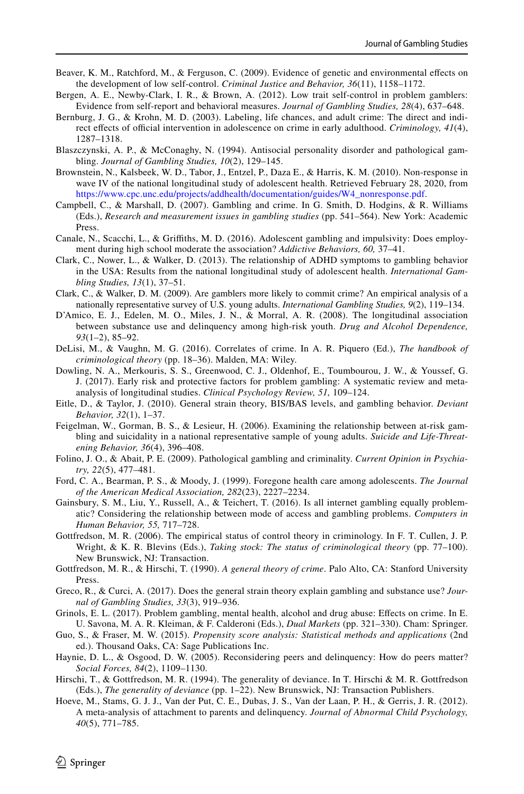- <span id="page-15-22"></span>Beaver, K. M., Ratchford, M., & Ferguson, C. (2009). Evidence of genetic and environmental efects on the development of low self-control. *Criminal Justice and Behavior, 36*(11), 1158–1172.
- <span id="page-15-8"></span>Bergen, A. E., Newby-Clark, I. R., & Brown, A. (2012). Low trait self-control in problem gamblers: Evidence from self-report and behavioral measures. *Journal of Gambling Studies, 28*(4), 637–648.
- <span id="page-15-15"></span>Bernburg, J. G., & Krohn, M. D. (2003). Labeling, life chances, and adult crime: The direct and indirect effects of official intervention in adolescence on crime in early adulthood. *Criminology*, 41(4), 1287–1318.
- <span id="page-15-6"></span>Blaszczynski, A. P., & McConaghy, N. (1994). Antisocial personality disorder and pathological gambling. *Journal of Gambling Studies, 10*(2), 129–145.
- <span id="page-15-18"></span>Brownstein, N., Kalsbeek, W. D., Tabor, J., Entzel, P., Daza E., & Harris, K. M. (2010). Non-response in wave IV of the national longitudinal study of adolescent health. Retrieved February 28, 2020, from [https://www.cpc.unc.edu/projects/addhealth/documentation/guides/W4\\_nonresponse.pdf](https://www.cpc.unc.edu/projects/addhealth/documentation/guides/W4_nonresponse.pdf).
- <span id="page-15-0"></span>Campbell, C., & Marshall, D. (2007). Gambling and crime. In G. Smith, D. Hodgins, & R. Williams (Eds.), *Research and measurement issues in gambling studies* (pp. 541–564). New York: Academic Press.
- <span id="page-15-14"></span>Canale, N., Scacchi, L., & Grifths, M. D. (2016). Adolescent gambling and impulsivity: Does employment during high school moderate the association? *Addictive Behaviors, 60,* 37–41.
- <span id="page-15-19"></span>Clark, C., Nower, L., & Walker, D. (2013). The relationship of ADHD symptoms to gambling behavior in the USA: Results from the national longitudinal study of adolescent health. *International Gambling Studies, 13*(1), 37–51.
- <span id="page-15-1"></span>Clark, C., & Walker, D. M. (2009). Are gamblers more likely to commit crime? An empirical analysis of a nationally representative survey of U.S. young adults. *International Gambling Studies, 9*(2), 119–134.
- <span id="page-15-16"></span>D'Amico, E. J., Edelen, M. O., Miles, J. N., & Morral, A. R. (2008). The longitudinal association between substance use and delinquency among high-risk youth. *Drug and Alcohol Dependence, 93*(1–2), 85–92.
- <span id="page-15-7"></span>DeLisi, M., & Vaughn, M. G. (2016). Correlates of crime. In A. R. Piquero (Ed.), *The handbook of criminological theory* (pp. 18–36). Malden, MA: Wiley.
- <span id="page-15-10"></span>Dowling, N. A., Merkouris, S. S., Greenwood, C. J., Oldenhof, E., Toumbourou, J. W., & Youssef, G. J. (2017). Early risk and protective factors for problem gambling: A systematic review and metaanalysis of longitudinal studies. *Clinical Psychology Review, 51,* 109–124.
- <span id="page-15-4"></span>Eitle, D., & Taylor, J. (2010). General strain theory, BIS/BAS levels, and gambling behavior. *Deviant Behavior, 32*(1), 1–37.
- <span id="page-15-20"></span>Feigelman, W., Gorman, B. S., & Lesieur, H. (2006). Examining the relationship between at-risk gambling and suicidality in a national representative sample of young adults. *Suicide and Life-Threatening Behavior, 36*(4), 396–408.
- <span id="page-15-3"></span>Folino, J. O., & Abait, P. E. (2009). Pathological gambling and criminality. *Current Opinion in Psychiatry, 22*(5), 477–481.
- <span id="page-15-21"></span>Ford, C. A., Bearman, P. S., & Moody, J. (1999). Foregone health care among adolescents. *The Journal of the American Medical Association, 282*(23), 2227–2234.
- <span id="page-15-24"></span>Gainsbury, S. M., Liu, Y., Russell, A., & Teichert, T. (2016). Is all internet gambling equally problematic? Considering the relationship between mode of access and gambling problems. *Computers in Human Behavior, 55,* 717–728.
- <span id="page-15-11"></span>Gottfredson, M. R. (2006). The empirical status of control theory in criminology. In F. T. Cullen, J. P. Wright, & K. R. Blevins (Eds.), *Taking stock: The status of criminological theory* (pp. 77–100). New Brunswick, NJ: Transaction.
- <span id="page-15-9"></span>Gottfredson, M. R., & Hirschi, T. (1990). *A general theory of crime*. Palo Alto, CA: Stanford University Press.
- <span id="page-15-5"></span>Greco, R., & Curci, A. (2017). Does the general strain theory explain gambling and substance use? *Journal of Gambling Studies, 33*(3), 919–936.
- <span id="page-15-2"></span>Grinols, E. L. (2017). Problem gambling, mental health, alcohol and drug abuse: Efects on crime. In E. U. Savona, M. A. R. Kleiman, & F. Calderoni (Eds.), *Dual Markets* (pp. 321–330). Cham: Springer.
- <span id="page-15-23"></span>Guo, S., & Fraser, M. W. (2015). *Propensity score analysis: Statistical methods and applications* (2nd ed.). Thousand Oaks, CA: Sage Publications Inc.
- <span id="page-15-12"></span>Haynie, D. L., & Osgood, D. W. (2005). Reconsidering peers and delinquency: How do peers matter? *Social Forces, 84*(2), 1109–1130.
- <span id="page-15-17"></span>Hirschi, T., & Gottfredson, M. R. (1994). The generality of deviance. In T. Hirschi & M. R. Gottfredson (Eds.), *The generality of deviance* (pp. 1–22). New Brunswick, NJ: Transaction Publishers.
- <span id="page-15-13"></span>Hoeve, M., Stams, G. J. J., Van der Put, C. E., Dubas, J. S., Van der Laan, P. H., & Gerris, J. R. (2012). A meta-analysis of attachment to parents and delinquency. *Journal of Abnormal Child Psychology, 40*(5), 771–785.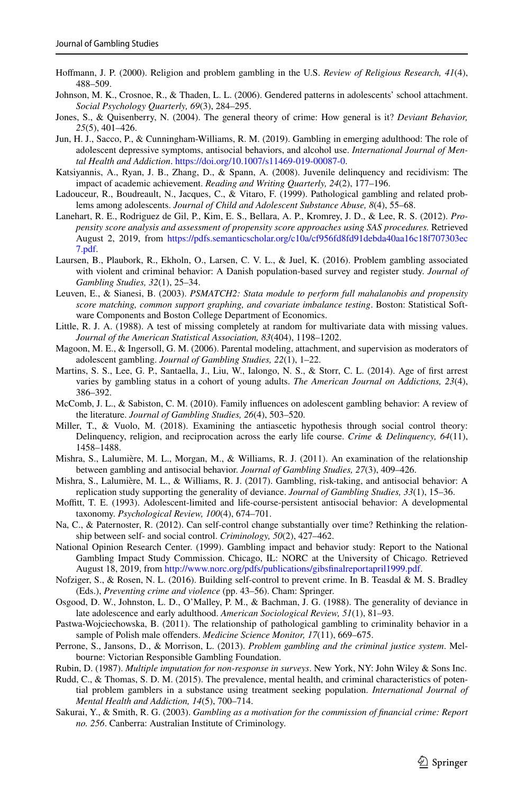- <span id="page-16-11"></span>Hofmann, J. P. (2000). Religion and problem gambling in the U.S. *Review of Religious Research, 41*(4), 488–509.
- <span id="page-16-20"></span>Johnson, M. K., Crosnoe, R., & Thaden, L. L. (2006). Gendered patterns in adolescents' school attachment. *Social Psychology Quarterly, 69*(3), 284–295.
- <span id="page-16-15"></span>Jones, S., & Quisenberry, N. (2004). The general theory of crime: How general is it? *Deviant Behavior, 25*(5), 401–426.
- <span id="page-16-5"></span>Jun, H. J., Sacco, P., & Cunningham-Williams, R. M. (2019). Gambling in emerging adulthood: The role of adolescent depressive symptoms, antisocial behaviors, and alcohol use. *International Journal of Mental Health and Addiction*. [https://doi.org/10.1007/s11469-019-00087-0.](https://doi.org/10.1007/s11469-019-00087-0)
- <span id="page-16-10"></span>Katsiyannis, A., Ryan, J. B., Zhang, D., & Spann, A. (2008). Juvenile delinquency and recidivism: The impact of academic achievement. *Reading and Writing Quarterly, 24*(2), 177–196.
- <span id="page-16-9"></span>Ladouceur, R., Boudreault, N., Jacques, C., & Vitaro, F. (1999). Pathological gambling and related problems among adolescents. *Journal of Child and Adolescent Substance Abuse, 8*(4), 55–68.
- <span id="page-16-21"></span>Lanehart, R. E., Rodriguez de Gil, P., Kim, E. S., Bellara, A. P., Kromrey, J. D., & Lee, R. S. (2012). *Propensity score analysis and assessment of propensity score approaches using SAS procedures.* Retrieved August 2, 2019, from [https://pdfs.semanticscholar.org/c10a/cf956fd8fd91debda40aa16c18f707303ec](https://pdfs.semanticscholar.org/c10a/cf956fd8fd91debda40aa16c18f707303ec7.pdf) [7.pdf](https://pdfs.semanticscholar.org/c10a/cf956fd8fd91debda40aa16c18f707303ec7.pdf).
- <span id="page-16-2"></span>Laursen, B., Plaubork, R., Ekholn, O., Larsen, C. V. L., & Juel, K. (2016). Problem gambling associated with violent and criminal behavior: A Danish population-based survey and register study. *Journal of Gambling Studies, 32*(1), 25–34.
- <span id="page-16-22"></span>Leuven, E., & Sianesi, B. (2003). *PSMATCH2: Stata module to perform full mahalanobis and propensity score matching, common support graphing, and covariate imbalance testing*. Boston: Statistical Software Components and Boston College Department of Economics.
- <span id="page-16-18"></span>Little, R. J. A. (1988). A test of missing completely at random for multivariate data with missing values. *Journal of the American Statistical Association, 83*(404), 1198–1202.
- <span id="page-16-7"></span>Magoon, M. E., & Ingersoll, G. M. (2006). Parental modeling, attachment, and supervision as moderators of adolescent gambling. *Journal of Gambling Studies, 22*(1), 1–22.
- <span id="page-16-13"></span>Martins, S. S., Lee, G. P., Santaella, J., Liu, W., Ialongo, N. S., & Storr, C. L. (2014). Age of frst arrest varies by gambling status in a cohort of young adults. *The American Journal on Addictions, 23*(4), 386–392.
- <span id="page-16-8"></span>McComb, J. L., & Sabiston, C. M. (2010). Family infuences on adolescent gambling behavior: A review of the literature. *Journal of Gambling Studies, 26*(4), 503–520.
- <span id="page-16-12"></span>Miller, T., & Vuolo, M. (2018). Examining the antiascetic hypothesis through social control theory: Delinquency, religion, and reciprocation across the early life course. *Crime & Delinquency, 64*(11), 1458–1488.
- <span id="page-16-14"></span>Mishra, S., Lalumière, M. L., Morgan, M., & Williams, R. J. (2011). An examination of the relationship between gambling and antisocial behavior. *Journal of Gambling Studies, 27*(3), 409–426.
- <span id="page-16-17"></span>Mishra, S., Lalumière, M. L., & Williams, R. J. (2017). Gambling, risk-taking, and antisocial behavior: A replication study supporting the generality of deviance. *Journal of Gambling Studies, 33*(1), 15–36.
- <span id="page-16-25"></span>Moftt, T. E. (1993). Adolescent-limited and life-course-persistent antisocial behavior: A developmental taxonomy. *Psychological Review, 100*(4), 674–701.
- <span id="page-16-23"></span>Na, C., & Paternoster, R. (2012). Can self-control change substantially over time? Rethinking the relationship between self- and social control. *Criminology, 50*(2), 427–462.
- <span id="page-16-0"></span>National Opinion Research Center. (1999). Gambling impact and behavior study: Report to the National Gambling Impact Study Commission. Chicago, IL: NORC at the University of Chicago. Retrieved August 18, 2019, from [http://www.norc.org/pdfs/publications/gibsfinalreportapril1999.pdf.](http://www.norc.org/pdfs/publications/gibsfinalreportapril1999.pdf)
- <span id="page-16-24"></span>Nofziger, S., & Rosen, N. L. (2016). Building self-control to prevent crime. In B. Teasdal & M. S. Bradley (Eds.), *Preventing crime and violence* (pp. 43–56). Cham: Springer.
- <span id="page-16-16"></span>Osgood, D. W., Johnston, L. D., O'Malley, P. M., & Bachman, J. G. (1988). The generality of deviance in late adolescence and early adulthood. *American Sociological Review, 51*(1), 81–93.
- <span id="page-16-4"></span>Pastwa-Wojciechowska, B. (2011). The relationship of pathological gambling to criminality behavior in a sample of Polish male ofenders. *Medicine Science Monitor, 17*(11), 669–675.
- <span id="page-16-6"></span>Perrone, S., Jansons, D., & Morrison, L. (2013). *Problem gambling and the criminal justice system*. Melbourne: Victorian Responsible Gambling Foundation.
- <span id="page-16-19"></span>Rubin, D. (1987). *Multiple imputation for non-response in surveys*. New York, NY: John Wiley & Sons Inc.
- <span id="page-16-1"></span>Rudd, C., & Thomas, S. D. M. (2015). The prevalence, mental health, and criminal characteristics of potential problem gamblers in a substance using treatment seeking population. *International Journal of Mental Health and Addiction, 14*(5), 700–714.
- <span id="page-16-3"></span>Sakurai, Y., & Smith, R. G. (2003). *Gambling as a motivation for the commission of fnancial crime: Report no. 256*. Canberra: Australian Institute of Criminology.